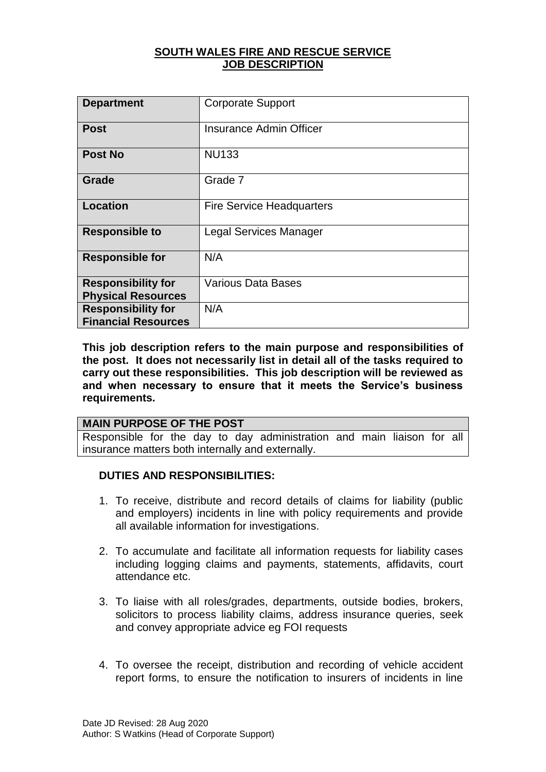## **SOUTH WALES FIRE AND RESCUE SERVICE JOB DESCRIPTION**

| <b>Department</b>                                       | <b>Corporate Support</b>         |
|---------------------------------------------------------|----------------------------------|
| <b>Post</b>                                             | Insurance Admin Officer          |
| <b>Post No</b>                                          | <b>NU133</b>                     |
| Grade                                                   | Grade 7                          |
| <b>Location</b>                                         | <b>Fire Service Headquarters</b> |
| <b>Responsible to</b>                                   | <b>Legal Services Manager</b>    |
| <b>Responsible for</b>                                  | N/A                              |
| <b>Responsibility for</b><br><b>Physical Resources</b>  | <b>Various Data Bases</b>        |
| <b>Responsibility for</b><br><b>Financial Resources</b> | N/A                              |

**This job description refers to the main purpose and responsibilities of the post. It does not necessarily list in detail all of the tasks required to carry out these responsibilities. This job description will be reviewed as and when necessary to ensure that it meets the Service's business requirements.**

#### **MAIN PURPOSE OF THE POST**

Responsible for the day to day administration and main liaison for all insurance matters both internally and externally.

## **DUTIES AND RESPONSIBILITIES:**

- 1. To receive, distribute and record details of claims for liability (public and employers) incidents in line with policy requirements and provide all available information for investigations.
- 2. To accumulate and facilitate all information requests for liability cases including logging claims and payments, statements, affidavits, court attendance etc.
- 3. To liaise with all roles/grades, departments, outside bodies, brokers, solicitors to process liability claims, address insurance queries, seek and convey appropriate advice eg FOI requests
- 4. To oversee the receipt, distribution and recording of vehicle accident report forms, to ensure the notification to insurers of incidents in line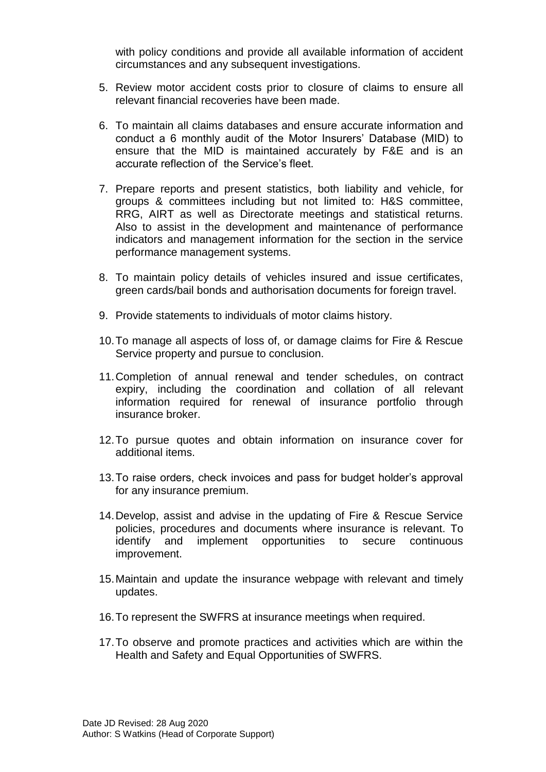with policy conditions and provide all available information of accident circumstances and any subsequent investigations.

- 5. Review motor accident costs prior to closure of claims to ensure all relevant financial recoveries have been made.
- 6. To maintain all claims databases and ensure accurate information and conduct a 6 monthly audit of the Motor Insurers' Database (MID) to ensure that the MID is maintained accurately by F&E and is an accurate reflection of the Service's fleet.
- 7. Prepare reports and present statistics, both liability and vehicle, for groups & committees including but not limited to: H&S committee, RRG, AIRT as well as Directorate meetings and statistical returns. Also to assist in the development and maintenance of performance indicators and management information for the section in the service performance management systems.
- 8. To maintain policy details of vehicles insured and issue certificates, green cards/bail bonds and authorisation documents for foreign travel.
- 9. Provide statements to individuals of motor claims history.
- 10.To manage all aspects of loss of, or damage claims for Fire & Rescue Service property and pursue to conclusion.
- 11.Completion of annual renewal and tender schedules, on contract expiry, including the coordination and collation of all relevant information required for renewal of insurance portfolio through insurance broker.
- 12.To pursue quotes and obtain information on insurance cover for additional items.
- 13.To raise orders, check invoices and pass for budget holder's approval for any insurance premium.
- 14.Develop, assist and advise in the updating of Fire & Rescue Service policies, procedures and documents where insurance is relevant. To identify and implement opportunities to secure continuous improvement.
- 15.Maintain and update the insurance webpage with relevant and timely updates.
- 16.To represent the SWFRS at insurance meetings when required.
- 17.To observe and promote practices and activities which are within the Health and Safety and Equal Opportunities of SWFRS.